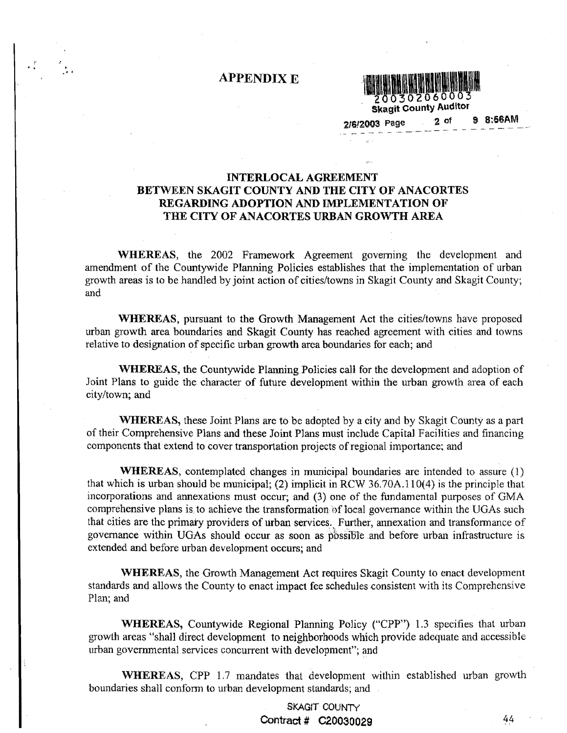$\mathcal{L} = \frac{1}{2}$ 



2/6/2003 Page 2 of 9 8:56AM

## INTERLOCAL AGREEMENT BETWEEN SKAGIT COUNTY AND THE CITY OF ANACORTES REGARDING ADOPTION AND IMPLEMENTATION OF THE CITY OF ANACORTES URBAN GROWTH AREA

WHEREAS, the 2002 Framework Agreement governing the development and amendment of the Countywide Planning Policies establishes that the implementation of urban growth areas is to be handled by joint action of cities/towns in Skagit County and Skagit County; and

WHEREAS, pursuant to the Growth Management Act the cities/towns have proposed urban growth area boundaries and Skagit County has reached agreement with cities and towns relative to designation of specific urban growth area boundaries for each; and

WHEREAS, the Countywide Planning Policies call for the development and adoption of Joint Plans to guide the character of future development within the urban growth area of each city/town; and

WHEREAS, these Joint Plans are to be adopted by a city and by Skagit County as a part of their Comprehensive Plans and these Joint Plans must include Capita] Faci1ities and financing components that extend to cover transportation projects of regional importance; and

**WHEREAS**, contemplated changes in municipal boundaries are intended to assure  $(1)$ that which is urban should be municipal; (2) implicit in RCW  $36.70A.110(4)$  is the principle that incorporations and annexations must occur; and (3) one of the fundamental purposes of GMA comprehensive plans is to achieve the transformation of local governance within the UGAs such that cities are the primary providers of urban services. Further, annexation and transformance of governance within UGAs should occur as soon as pbssiBle and before urban infrastructure is extended and before urban development occurs; and

WHEREAS, the Growth Management Act requires Skagit County to enact development standards and allows the County to enact impact fee schedules consistent with its Comprehensive Plan; and

WHEREAS, Countywide Regional Planning Policy ("CPP") 1.3 specifies that urban growth areas "shall direct development to neighborhoods which provide adequate and accessible urban governmental services concurrent with development"; and

WHEREAS, CPP 1.7 mandates that development within established urban growth boundaries shall conform to urban development standards; and

> SKAGIT COUNTY Contract # C20030029 44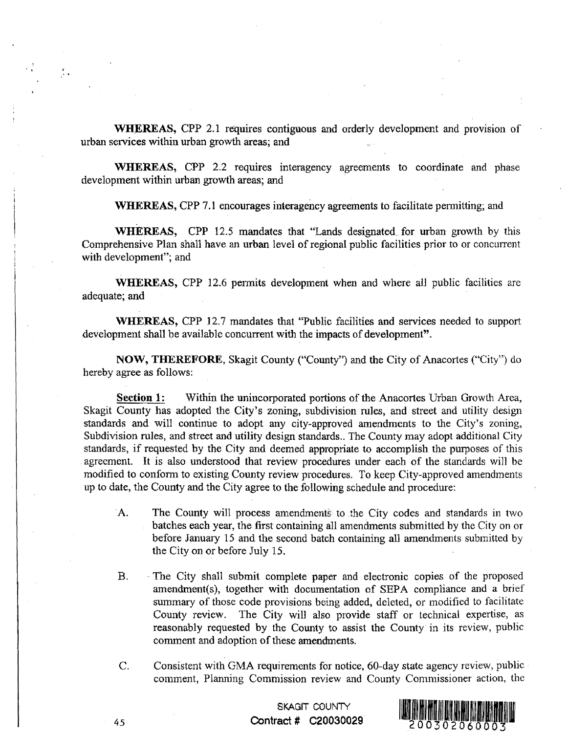**WHEREAS,** CPP 2.1 requires contiguous and orderly development and provision of urban services within urban growth areas; and

**WHEREAS,** CPP 2.2 requires interagency agreements to coordinate and phase development within urban growth areas; and

**WHEREAS, CPP 7.1 encourages interagency agreements to facilitate permitting; and** 

WHEREAS, CPP 12.5 mandates that "Lands designated for urban growth by this Comprehensive Plan shall have an urban level of regional public facilities prior to or concurrent with development"; and

**WHEREAS,** CPP 12.6 permits development when and where all public facilities are adequate; and

**WHEREAS,** CPP 12.7 mandates that "Public facilities and services needed to support development shall be available concurrent with the impacts of development".

**NOW, THEREFORE,** Skagit County ("County") and the City of Anacortes ("City") do hereby agree as follows:

**Section 1:** Within the unincorporated portions of the Anacortes Urban Growth Area, Skagit County has adopted the City's zoning, subdivision rules, and street and utility design standards and will continue to adopt any city-approved amendments to the City's zoning, Subdivision rules, and street and utility design standards .. The County may adopt additional City standards, if requested by the City and deemed appropriate to accomplish the purposes of this agreement. It is also understood that review procedures under each of the standards will be modified to conform to existing County review procedures. To keep City-approved amendments up to date, the County and the City agree to the following schedule and procedure:

- A. The County will process amendment§ to the City codes and standards in two batches each year, the first containing all amendments submitted by the City on or before January 15 and the second batch containing all amendments submitted by the City on or before July 15.
- B. The City shall submit complete paper and electronic copies of the proposed amendment(s), together with documentation of SEPA compliance and a brief summary of those code provisions being added, deleted, or modified to facilitate County review. The City will also provide staff or technical expertise, as reasonably requested by the County to assist the County in its review, public comment and adoption of these amendments.
- C. Consistent with GMA requirements for notice, 60-day state agency review, public comment, Planning Commission review and County Commissioner action, the

SKAGIT COUNTY **Contract # C20030029** 



45

( ..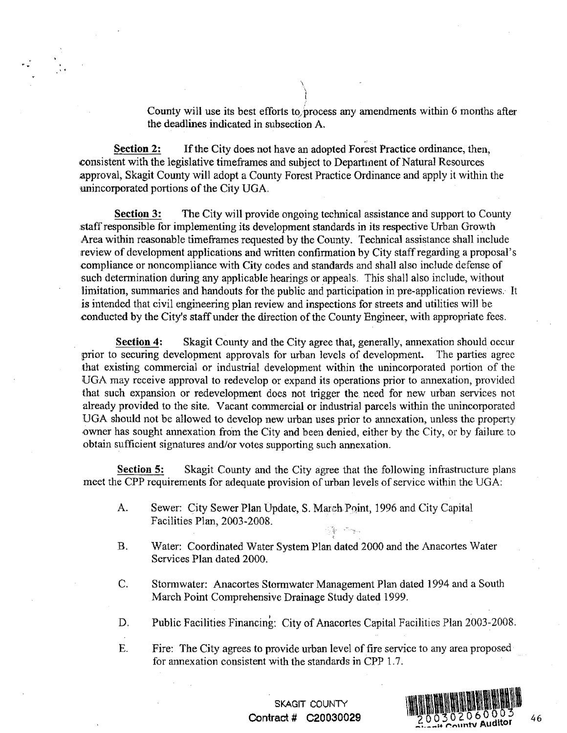County will use its best efforts to process any amendments within 6 months after the deadlines indicated in subsection A.

**Section** 2: If the City does not have an adopted Forest Practice ordinance, then, consistent with the legislative timeframes and subject to Departrnent of Natural Resources approval, Skagit County will adopt a County Forest Practice Ordinance and apply it within the unincorporated portions of the City UGA.

.. ''

**Section 3:** The City will provide ongoing technical assistance and support to County staff responsible for implementing its development standards in its respective Urban Growth Area within reasonable time frames requested by the County. Technical assistance shall include review of development applications and written confirmation by City staff regarding a proposal's compliance or noncompliance with City codes and standards and shall also include defense of such determination during any applicable hearings or appeals. This shall also include, without limitation, summaries and handouts for the public and participation in pre-application reviews. It is intended that civil engineering plan review and inspections for streets and utilities will be conducted by the City's staff under the direction of the County Engineer, with appropriate fees.

**Section 4:** Skagit County and the City agree that, generally, annexation should occur prior to seeming development approvals for urban levels of development. The parties agree that existing commercial or industrial development within the unincorporated portion of the UGA may receive approval to redevelop or expand its operations prior to annexation, provided that such expansion or redevelopment does not trigger the. need for new urban services not already provided to the site. Vacant commercial or industrial parcels within the unincorporated UGA should not be allowed to develop new urban uses prior to annexation, unless the property owner has sought annexation from the City and been denied, either by the City, or by failure to obtain sufficient signatures and/or votes supporting such annexation.

**Section 5:** Skagit County and the City agree that the following infrastructure plans meet the CPP requirements for adequate provision of urban levels of service within the UGA:

- A. Sewer: City Sewer Plan Update, S. March Point, 1996 and City Capital Facilities Plan, 2003-2008.
- B. Water: Coordinated Water System Plan dated 2000 and the Anacortes Water Services Plan dated 2000.
- C. Stormwater: Anacortes Stormwater Management Plan dated 1994 and a South March Point Comprehensive Drainage Study dated 1999.
- D. Public Facilities Financing: City of Anacortes Capital Facilities Plan 2003-2008.
- E. Fire: The City agrees to provide urban level of fire service to any area proposed for annexation consistent with the standards in CPP 1.7.

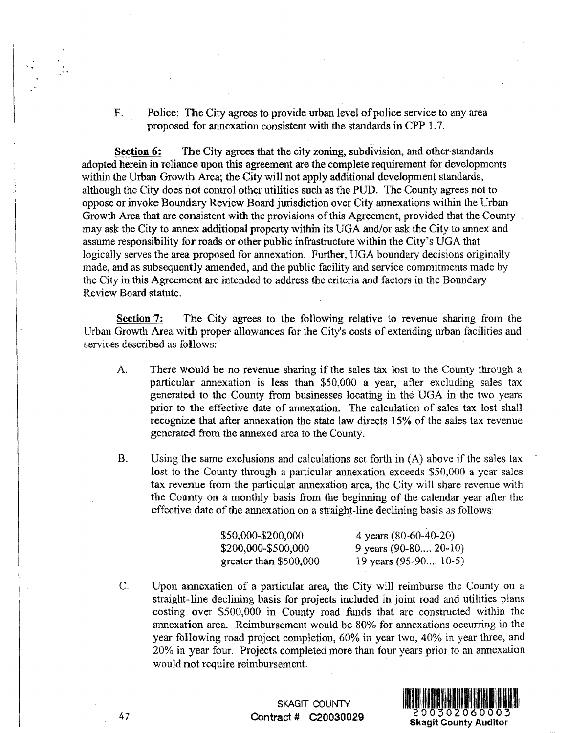### F. Police: The City agrees to provide urban level of police service to any area proposed for annexation consistent with the standards in CPP 1. 7.

Section 6: The City agrees that the city zoning, subdivision, and other-standards adopted herein in reliance upon this agreement are the complete requirement for developments within the Urban Growth Area; the City will not apply additional development standards, although the City does not control other utilities such as the PUD. The County agrees not to oppose or invoke Boundary Review Boaid jurisdiction over City annexations within the Urban Growth Area that are consistent with the provisions of this Agreement, provided that the County may ask the City to annex additional property within its UGA and/or ask the City to annex and assume responsibility for roads or other public infrastructure within the City's UGA that logically serves the area proposed for annexation. Further, UGA boundary decisions originally made, and as subsequently amended, and the public facility and service commitments made by the City in this Agreement are intended to address the criteria and factors in the Boundary Review Board statute.

Section 7: The City agrees to the following relative to revenue sharing from the Urban Growth Area with proper allowances for the City's costs of extending urban facilities and services described as follows:

- A. There would be no revenue sharing if the sales tax lost to the County through a particular annexation is less than  $$50,000$  a year, after excluding sales tax generated to the County from businesses locating in the UGA in the two years prior to the effective date of annexation. The calculation of sales tax lost shall recognize that after annexation the state law directs 15% of the sales tax revenue generated from the annexed area to the County.
- B. Using the same exclusions and calculations set forth in (A) above if the sales tax lost to the County through a particular annexation exceeds \$50,000 a year sales tax revenue from the particular annexation area, the City will share revenue with the County on a monthly basis from the beginning of the calendar year after the effective date of the annexation on a straight-line declining basis as follows:

| \$50,000-\$200,000     | 4 years $(80-60-40-20)$ |
|------------------------|-------------------------|
| \$200,000-\$500,000    | 9 years $(90-80 20-10)$ |
| greater than \$500,000 | 19 years $(95-90 10-5)$ |

C. Upon annexation of a particular area, the City will reimburse the County on a straight-line declining basis for projects included in joint road and utilities plans costing over \$500,000 in County road funds that are constructed within the annexation area. Reimbursement would be 80% for annexations occuning in the year following road project completion, 60% in year two, 40% in year three, and 20% in year four. Projects completed more than four years prior to an annexation would not require reimbursement.



47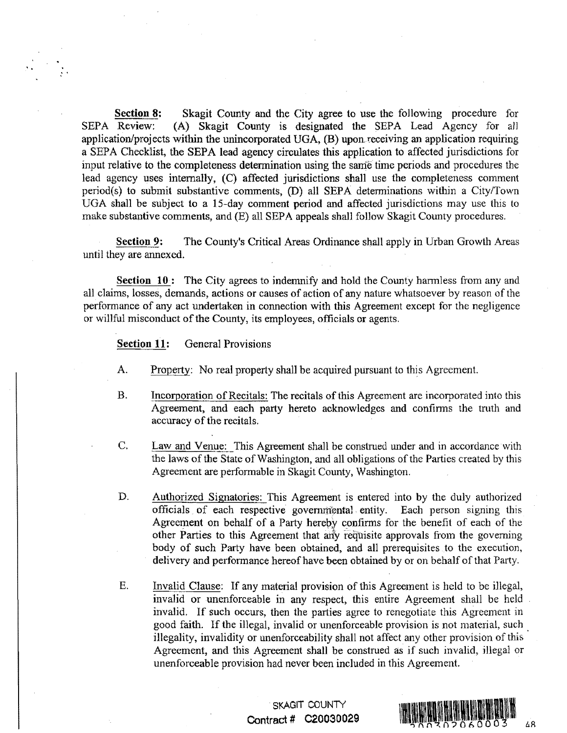Section 8: Skagit County and the City agree to use the following procedure for SEPA Review: (A) Skagit County is designated the SEPA Lead Agency for all application/projects within the unincorporated UGA,  $(B)$  upon receiving an application requiring a SEPA Checklist, the SEPA lead agency circulates this application to affected jurisdictions for input relative to the completeness detennination using the sanie time periods and procedures the lead agency uses internally, (C) affected jurisdictions shall use the completeness comment period(s) to submit substantive comments, (D) all SEPA determinations within a City/Town UGA shall be subject to a 15-day comment period and affected jurisdictions may use this to make substantive comments, and (E) all SEPA appeals shall follow Skagit County procedures.

Section 9: The County's Critical Areas Ordinance shall apply in Urban Growth Areas until they are annexed.

Section 10: The City agrees to indemnify and hold the County harmless from any and all claims, losses, demands, actions or causes of action of any nature whatsoever by reason of the performance of any act undertaken in connection with this Agreement except for the negligence or willful misconduct of the County, its employees, officials or agents.

Section 11: General Provisions

..

- A. Property: No real property shall be acquired pursuant to thjs Agreement.
- B. Incorporation of Recitals: The recitals of this Agreement are incorporated into this Agreement, and each party hereto acknowledges and confirms the truth and accuracy of the recitals.
- C. Law and Venue: This Agreement shall be construed under and in accordance with the laws of the State of Washington, and all obligations of the Parties created by this Agreement are performable in Skagit County, Washington.
- D. Authorized Signatories: This Agreement is entered into by the duly authorized officials of each respective governmental entity. Each person signing this Agreement on behalf of a Party hereby confirms for the benefit of each of the other Parties to this Agreement that any requisite approvals from the governing body of such Party have been obtained, and all prerequisites to the execution, delivery and performance hereof have been obtained by or on behalf of that Party.
- Ε. Invalid Clause: If any material provision of this Agreement is held to be illegal, invalid or unenforceable in any respect, this entire Agreement shall be held invalid. If such occurs, then the parties agree to renegotiate this Agreement in good faith. If the illegal, invalid or unenforceable provision is not material, such illegality, invalidity or unenforceability shall not affect any other provision of this Agreement, and this Agreement shall be construed as if such invalid, illegal or unenforceable provision had never been included in this Agreement.

# SKAGIT COUNTY Contract # 020030029

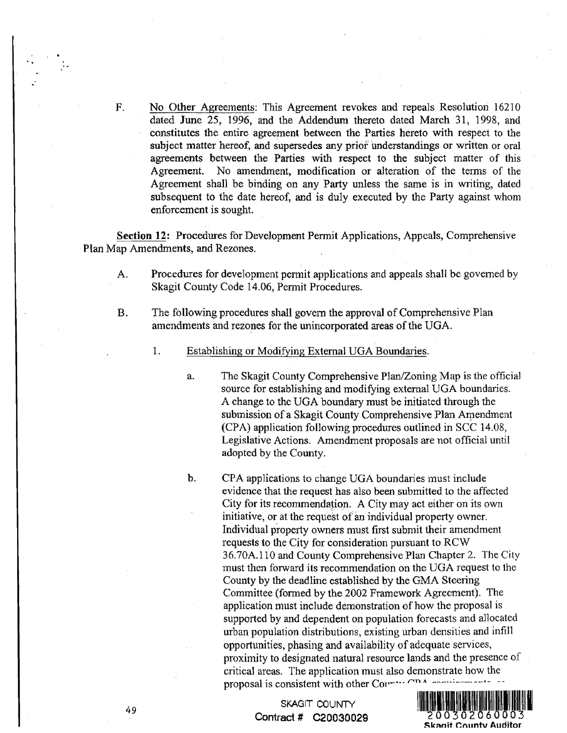F. No Other Agreements: This Agreement revokes and repeals Resolution 16210 dated June 25, 1996, and the Addendum thereto dated March 31, 1998, and constitutes the entire agreement between the Parties hereto with respect to the subject matter hereof, and supersedes any prior understandings or written or oral agreements between the Parties with respect to the subject matter of this Agreement. No amendment, modification or alteration of the terms of the Agreement shall be binding on any Party unless the same is in writing, dated subsequent to the date hereof, and is duly executed by the Party against whom enforcement is sought.

Section 12: Procedures for Development Permit Applications, Appeals, Comprehensive Plan Map Amendments, and Rezones.

- A. Procedures for development permit applications and appeals shall be governed by Skagit County Code 14.06, Permit Procedures.
- B. The following procedures shall govern the approval of Comprehensive Plan amendments and rezones for the unincorporated areas of the UGA.
	- 1. Establishing or Modifying External UGA Boundaries.
		- a. The Skagit County Comprehensive Plan/Zoning Map is the official source for establishing and modifying external UGA boundaries. A change to the UGA boundary must be initiated through the submission of a Skagit County Comprehensive Plan Amendment (CPA) application following procedures outlined in SCC 14.08, Legislative Actions. Amendment proposals are not official until adopted by the County.
		- b. CPA applications to change UGA boundaries must include evidence that the request has also been submitted to the affected City for its recommendaiion. A City may act either on its own initiative, or at the request of an individual property owner. Individual property owners must first submit their amendment requests to the City for consideration pursuant to RCW 36.70A.110 and County Comprehensive Plan Chapter 2. The City must then forward its recommendation on the UGA request to the County by the deadline established by the GMA Steering Committee (formed by the 2002 Framework Agreement). The application must include demonstration of how the proposal is supported by and dependent on population forecasts and allocated urban population distributions, existing urban densities and infill opportunities, phasing and availability of adequate services, proximity to designated natural resource lands and the presence of critical areas. The application must also demonstrate how the proposal is consistent with other Com  $\cdots$   $\cdots$   $\cdots$   $\cdots$

SKAGIT COUNTY



.. ..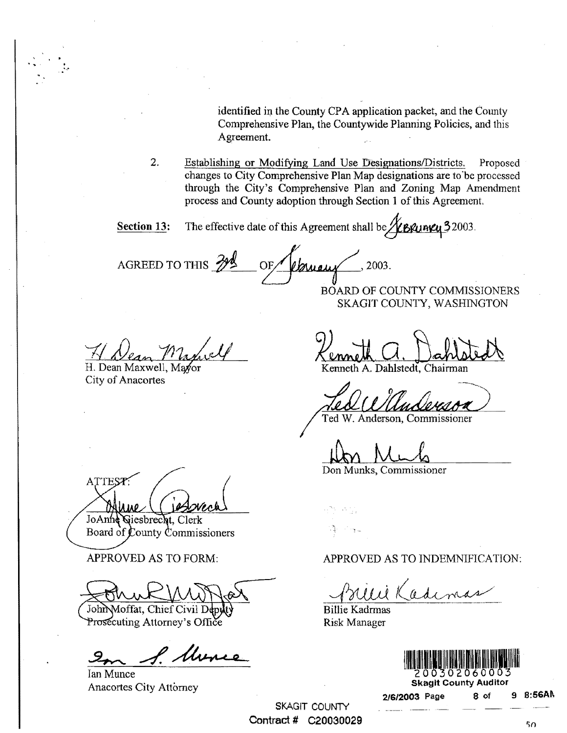identified in the County CPA application packet, and the County Comprehensive Plan, the Countywide Planning Policies, and this Agreement.

2. Establishing or Modifying Land Use Designations/Districts. Proposed changes to City Comprehensive Plan Map designations are to "be processed through the City's Comprehensive Plan and Zoning Map Amendment process and County adoption through Section l of this Agreement.

Section 13: The effective date of this Agreement shall be  $\frac{1}{2}$  BRunKy 32003.

AGREED TO THIS 2009 OF Warren 2003. BOARD OF COlJNTY COMMISSIONERS

H. Dean Maxwell, M City of Anacortes

 $\sum_{i=1}^N\left(\frac{1}{\lambda_i}\right)^2$ 

·-·

SKAGIT COUNTY, WASHINGTON

<u>sennem i</u> Kenneth A. Dahlstedt

Kenneth A. Dahlated

Don Munks, Commissioner

**ATTEST** 

JoAnne Giesbrecht, Clerk Board of County Commissioners

APPROVED AS TO FORM:

John Moffat, Chief Civil Dep Prosecuting Attorney's Office

 $\frac{9}{4}$   $\frac{1}{20030202060003}$ 

Ian Munce Anacortes City Attorney

APPROVED AS TO INDEMNIFICATION:

Bulli Kadenas

Billie Kadrmas Risk Manager



216/2003 Page 8 of 9 8:56All.

SKAGIT COUNTY Contract # 020030029